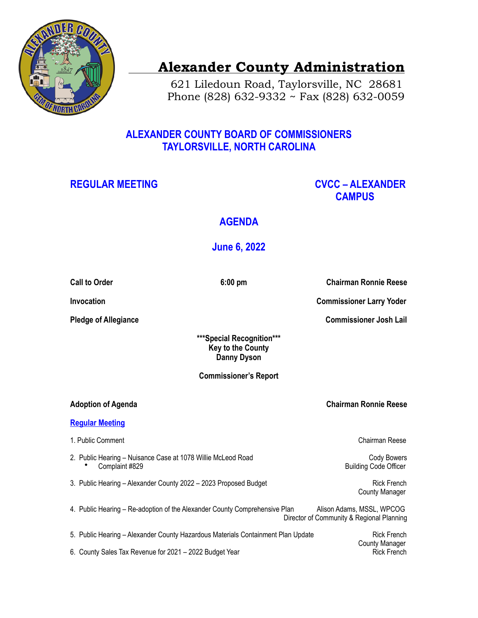

# **Alexander County Administration**

 621 Liledoun Road, Taylorsville, NC 28681 Phone (828) 632-9332 ~ Fax (828) 632-0059

## **ALEXANDER COUNTY BOARD OF COMMISSIONERS TAYLORSVILLE, NORTH CAROLINA**

## REGULAR MEETING **CVCC – ALEXANDER CAMPUS**

## **AGENDA**

## **June 6, 2022**

**Call to Order 6:00 pm Chairman Ronnie Reese** 

**Invocation** Commissioner Larry Yoder **Commissioner Larry Yoder** 

**Pledge of Allegiance** Commissioner Josh Lail

**\*\*\*Special Recognition\*\*\* Key to the County Danny Dyson** 

**Commissioner's Report**

### **Adoption of Agenda Chairman Ronnie Reese**

#### **Regular Meeting**

- 1. Public Comment Chairman Reese
	-

2. Public Hearing – Nuisance Case at 1078 Willie McLeod Road Cody Bowers Cody Bowers **• Complaint #829 Building Code Officer Building Code Officer** 

3. Public Hearing – Alexander County 2022 – 2023 Proposed Budget Rick French County Manager

- 4. Public Hearing Re-adoption of the Alexander County Comprehensive Plan Alison Adams, MSSL, WPCOG Director of Community & Regional Planning
- 5. Public Hearing Alexander County Hazardous Materials Containment Plan Update Rick French 6. County Sales Tax Revenue for 2021 – 2022 Budget Year Rick French Rick French

County Manager